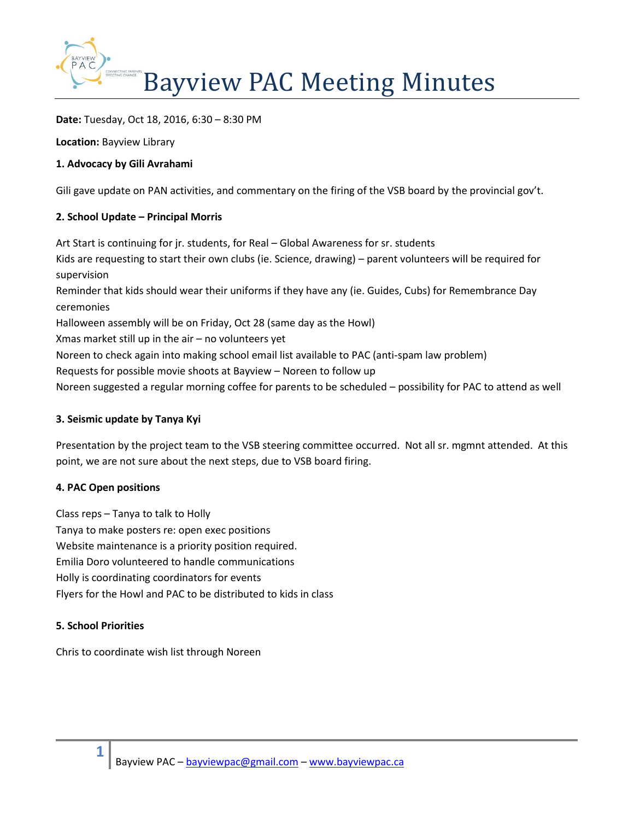

**Date:** Tuesday, Oct 18, 2016, 6:30 – 8:30 PM

**Location:** Bayview Library

# **1. Advocacy by Gili Avrahami**

Gili gave update on PAN activities, and commentary on the firing of the VSB board by the provincial gov't.

# **2. School Update – Principal Morris**

Art Start is continuing for jr. students, for Real – Global Awareness for sr. students Kids are requesting to start their own clubs (ie. Science, drawing) – parent volunteers will be required for supervision Reminder that kids should wear their uniforms if they have any (ie. Guides, Cubs) for Remembrance Day ceremonies Halloween assembly will be on Friday, Oct 28 (same day as the Howl) Xmas market still up in the air – no volunteers yet Noreen to check again into making school email list available to PAC (anti-spam law problem) Requests for possible movie shoots at Bayview – Noreen to follow up Noreen suggested a regular morning coffee for parents to be scheduled – possibility for PAC to attend as well

# **3. Seismic update by Tanya Kyi**

Presentation by the project team to the VSB steering committee occurred. Not all sr. mgmnt attended. At this point, we are not sure about the next steps, due to VSB board firing.

# **4. PAC Open positions**

Class reps – Tanya to talk to Holly Tanya to make posters re: open exec positions Website maintenance is a priority position required. Emilia Doro volunteered to handle communications Holly is coordinating coordinators for events Flyers for the Howl and PAC to be distributed to kids in class

# **5. School Priorities**

**1**

Chris to coordinate wish list through Noreen